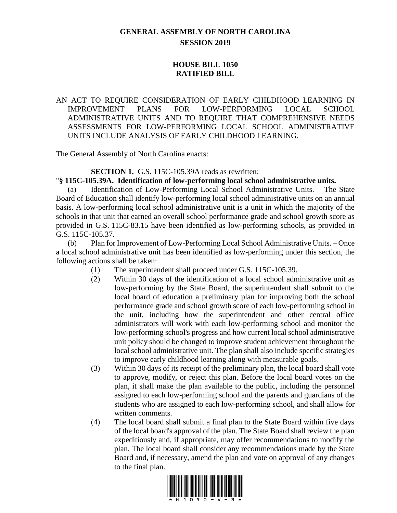## **GENERAL ASSEMBLY OF NORTH CAROLINA SESSION 2019**

## **HOUSE BILL 1050 RATIFIED BILL**

AN ACT TO REQUIRE CONSIDERATION OF EARLY CHILDHOOD LEARNING IN IMPROVEMENT PLANS FOR LOW-PERFORMING LOCAL SCHOOL ADMINISTRATIVE UNITS AND TO REQUIRE THAT COMPREHENSIVE NEEDS ASSESSMENTS FOR LOW-PERFORMING LOCAL SCHOOL ADMINISTRATIVE UNITS INCLUDE ANALYSIS OF EARLY CHILDHOOD LEARNING.

The General Assembly of North Carolina enacts:

## **SECTION 1.** G.S. 115C-105.39A reads as rewritten:

## "**§ 115C-105.39A. Identification of low-performing local school administrative units.**

Identification of Low-Performing Local School Administrative Units. - The State Board of Education shall identify low-performing local school administrative units on an annual basis. A low-performing local school administrative unit is a unit in which the majority of the schools in that unit that earned an overall school performance grade and school growth score as provided in G.S. 115C-83.15 have been identified as low-performing schools, as provided in G.S. 115C-105.37.

(b) Plan for Improvement of Low-Performing Local School Administrative Units. – Once a local school administrative unit has been identified as low-performing under this section, the following actions shall be taken:

- (1) The superintendent shall proceed under G.S. 115C-105.39.
- (2) Within 30 days of the identification of a local school administrative unit as low-performing by the State Board, the superintendent shall submit to the local board of education a preliminary plan for improving both the school performance grade and school growth score of each low-performing school in the unit, including how the superintendent and other central office administrators will work with each low-performing school and monitor the low-performing school's progress and how current local school administrative unit policy should be changed to improve student achievement throughout the local school administrative unit. The plan shall also include specific strategies to improve early childhood learning along with measurable goals.
- (3) Within 30 days of its receipt of the preliminary plan, the local board shall vote to approve, modify, or reject this plan. Before the local board votes on the plan, it shall make the plan available to the public, including the personnel assigned to each low-performing school and the parents and guardians of the students who are assigned to each low-performing school, and shall allow for written comments.
- (4) The local board shall submit a final plan to the State Board within five days of the local board's approval of the plan. The State Board shall review the plan expeditiously and, if appropriate, may offer recommendations to modify the plan. The local board shall consider any recommendations made by the State Board and, if necessary, amend the plan and vote on approval of any changes to the final plan.